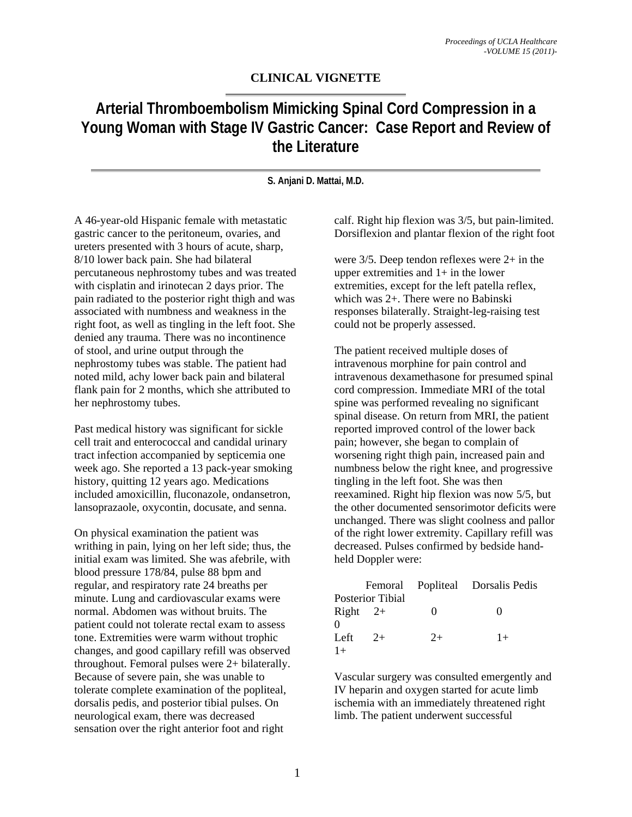## **CLINICAL VIGNETTE**

# **Arterial Thromboembolism Mimicking Spinal Cord Compression in a Young Woman with Stage IV Gastric Cancer: Case Report and Review of the Literature**

**S. Anjani D. Mattai, M.D.** 

A 46-year-old Hispanic female with metastatic gastric cancer to the peritoneum, ovaries, and ureters presented with 3 hours of acute, sharp, 8/10 lower back pain. She had bilateral percutaneous nephrostomy tubes and was treated with cisplatin and irinotecan 2 days prior. The pain radiated to the posterior right thigh and was associated with numbness and weakness in the right foot, as well as tingling in the left foot. She denied any trauma. There was no incontinence of stool, and urine output through the nephrostomy tubes was stable. The patient had noted mild, achy lower back pain and bilateral flank pain for 2 months, which she attributed to her nephrostomy tubes.

Past medical history was significant for sickle cell trait and enterococcal and candidal urinary tract infection accompanied by septicemia one week ago. She reported a 13 pack-year smoking history, quitting 12 years ago. Medications included amoxicillin, fluconazole, ondansetron, lansoprazaole, oxycontin, docusate, and senna.

On physical examination the patient was writhing in pain, lying on her left side; thus, the initial exam was limited. She was afebrile, with blood pressure 178/84, pulse 88 bpm and regular, and respiratory rate 24 breaths per minute. Lung and cardiovascular exams were normal. Abdomen was without bruits. The patient could not tolerate rectal exam to assess tone. Extremities were warm without trophic changes, and good capillary refill was observed throughout. Femoral pulses were 2+ bilaterally. Because of severe pain, she was unable to tolerate complete examination of the popliteal, dorsalis pedis, and posterior tibial pulses. On neurological exam, there was decreased sensation over the right anterior foot and right

calf. Right hip flexion was 3/5, but pain-limited. Dorsiflexion and plantar flexion of the right foot

were 3/5. Deep tendon reflexes were 2+ in the upper extremities and  $1+$  in the lower extremities, except for the left patella reflex, which was 2+. There were no Babinski responses bilaterally. Straight-leg-raising test could not be properly assessed.

The patient received multiple doses of intravenous morphine for pain control and intravenous dexamethasone for presumed spinal cord compression. Immediate MRI of the total spine was performed revealing no significant spinal disease. On return from MRI, the patient reported improved control of the lower back pain; however, she began to complain of worsening right thigh pain, increased pain and numbness below the right knee, and progressive tingling in the left foot. She was then reexamined. Right hip flexion was now 5/5, but the other documented sensorimotor deficits were unchanged. There was slight coolness and pallor of the right lower extremity. Capillary refill was decreased. Pulses confirmed by bedside handheld Doppler were:

|                         |      |      | Femoral Popliteal Dorsalis Pedis |
|-------------------------|------|------|----------------------------------|
| <b>Posterior Tibial</b> |      |      |                                  |
| $Right$ 2+              |      | 0    |                                  |
| $\Omega$                |      |      |                                  |
| Left                    | $2+$ | $2+$ | $1+$                             |
| $1+$                    |      |      |                                  |

Vascular surgery was consulted emergently and IV heparin and oxygen started for acute limb ischemia with an immediately threatened right limb. The patient underwent successful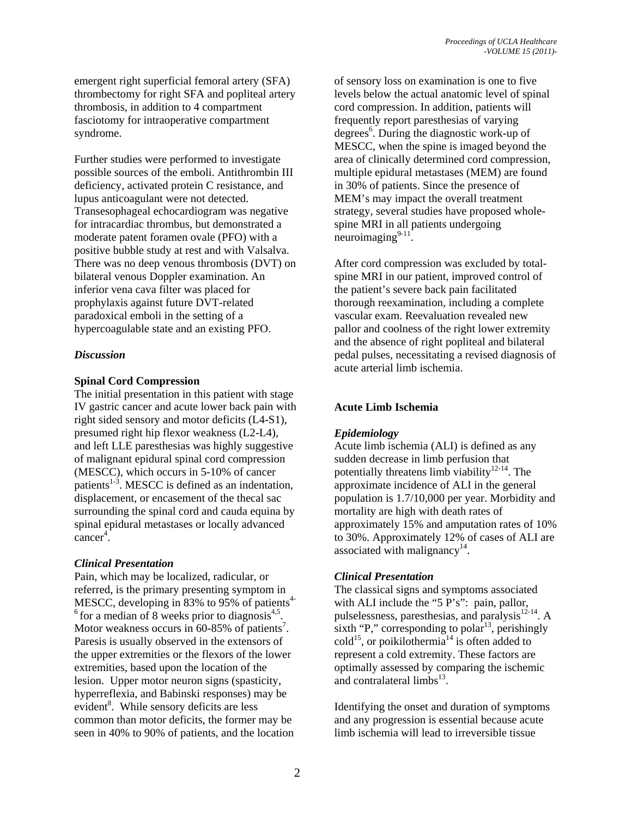emergent right superficial femoral artery (SFA) thrombectomy for right SFA and popliteal artery thrombosis, in addition to 4 compartment fasciotomy for intraoperative compartment syndrome.

Further studies were performed to investigate possible sources of the emboli. Antithrombin III deficiency, activated protein C resistance, and lupus anticoagulant were not detected. Transesophageal echocardiogram was negative for intracardiac thrombus, but demonstrated a moderate patent foramen ovale (PFO) with a positive bubble study at rest and with Valsalva. There was no deep venous thrombosis (DVT) on bilateral venous Doppler examination. An inferior vena cava filter was placed for prophylaxis against future DVT-related paradoxical emboli in the setting of a hypercoagulable state and an existing PFO.

#### *Discussion*

## **Spinal Cord Compression**

The initial presentation in this patient with stage IV gastric cancer and acute lower back pain with right sided sensory and motor deficits (L4-S1), presumed right hip flexor weakness (L2-L4), and left LLE paresthesias was highly suggestive of malignant epidural spinal cord compression (MESCC), which occurs in 5-10% of cancer patients $1-3$ . MESCC is defined as an indentation, displacement, or encasement of the thecal sac surrounding the spinal cord and cauda equina by spinal epidural metastases or locally advanced  $cancer<sup>4</sup>$ .

#### *Clinical Presentation*

Pain, which may be localized, radicular, or referred, is the primary presenting symptom in MESCC, developing in 83% to 95% of patients<sup>4-</sup>  $6$  for a median of 8 weeks prior to diagnosis<sup>4,5</sup>. Motor weakness occurs in  $60-85%$  of patients<sup>7</sup>. Paresis is usually observed in the extensors of the upper extremities or the flexors of the lower extremities, based upon the location of the lesion. Upper motor neuron signs (spasticity, hyperreflexia, and Babinski responses) may be evident<sup>8</sup>. While sensory deficits are less common than motor deficits, the former may be seen in 40% to 90% of patients, and the location

of sensory loss on examination is one to five levels below the actual anatomic level of spinal cord compression. In addition, patients will frequently report paresthesias of varying degrees<sup>6</sup>. During the diagnostic work-up of MESCC, when the spine is imaged beyond the area of clinically determined cord compression, multiple epidural metastases (MEM) are found in 30% of patients. Since the presence of MEM's may impact the overall treatment strategy, several studies have proposed wholespine MRI in all patients undergoing neuroimaging $9-11$ .

After cord compression was excluded by totalspine MRI in our patient, improved control of the patient's severe back pain facilitated thorough reexamination, including a complete vascular exam. Reevaluation revealed new pallor and coolness of the right lower extremity and the absence of right popliteal and bilateral pedal pulses, necessitating a revised diagnosis of acute arterial limb ischemia.

## **Acute Limb Ischemia**

## *Epidemiology*

Acute limb ischemia (ALI) is defined as any sudden decrease in limb perfusion that potentially threatens limb viability<sup>12-14</sup>. The approximate incidence of ALI in the general population is 1.7/10,000 per year. Morbidity and mortality are high with death rates of approximately 15% and amputation rates of 10% to 30%. Approximately 12% of cases of ALI are associated with malignancy<sup>14</sup>.

## *Clinical Presentation*

The classical signs and symptoms associated with ALI include the "5 P's": pain, pallor, pulselessness, paresthesias, and paralysis $12-14$ . A sixth "P," corresponding to polar<sup>13</sup>, perishingly  $\text{cold}^{15}$ , or poikilothermia<sup>14</sup> is often added to represent a cold extremity. These factors are optimally assessed by comparing the ischemic and contralateral limbs $^{13}$ .

Identifying the onset and duration of symptoms and any progression is essential because acute limb ischemia will lead to irreversible tissue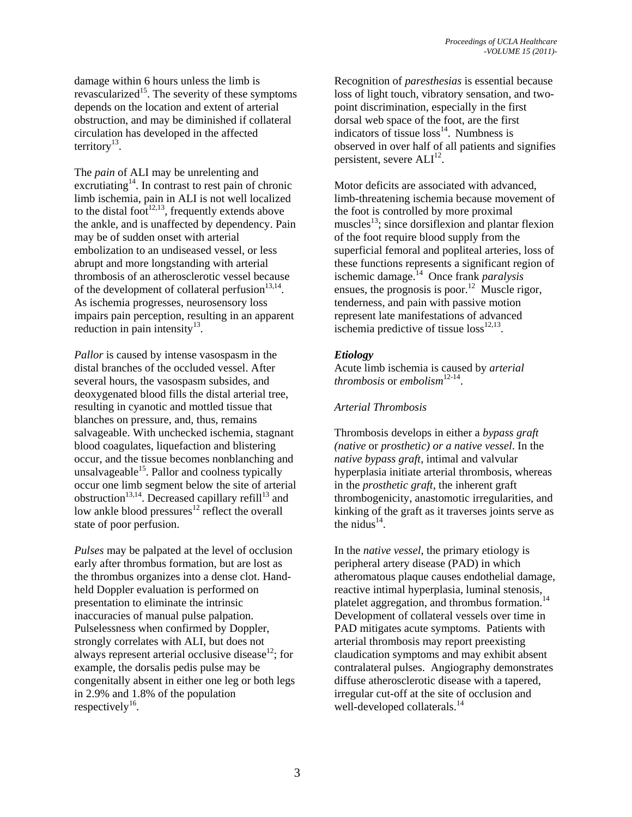damage within 6 hours unless the limb is revascularized<sup>15</sup>. The severity of these symptoms depends on the location and extent of arterial obstruction, and may be diminished if collateral circulation has developed in the affected territory<sup>13</sup>.

The *pain* of ALI may be unrelenting and excrutiating $14$ . In contrast to rest pain of chronic limb ischemia, pain in ALI is not well localized to the distal foot<sup>12,13</sup>, frequently extends above the ankle, and is unaffected by dependency. Pain may be of sudden onset with arterial embolization to an undiseased vessel, or less abrupt and more longstanding with arterial thrombosis of an atherosclerotic vessel because of the development of collateral perfusion $13,14$ . As ischemia progresses, neurosensory loss impairs pain perception, resulting in an apparent reduction in pain intensity $^{13}$ .

*Pallor* is caused by intense vasospasm in the distal branches of the occluded vessel. After several hours, the vasospasm subsides, and deoxygenated blood fills the distal arterial tree, resulting in cyanotic and mottled tissue that blanches on pressure, and, thus, remains salvageable. With unchecked ischemia, stagnant blood coagulates, liquefaction and blistering occur, and the tissue becomes nonblanching and unsalvageable $^{15}$ . Pallor and coolness typically occur one limb segment below the site of arterial obstruction<sup>13,14</sup>. Decreased capillary refill<sup>13</sup> and low ankle blood pressures $12$  reflect the overall state of poor perfusion.

*Pulses* may be palpated at the level of occlusion early after thrombus formation, but are lost as the thrombus organizes into a dense clot. Handheld Doppler evaluation is performed on presentation to eliminate the intrinsic inaccuracies of manual pulse palpation. Pulselessness when confirmed by Doppler, strongly correlates with ALI, but does not always represent arterial occlusive disease $^{12}$ ; for example, the dorsalis pedis pulse may be congenitally absent in either one leg or both legs in 2.9% and 1.8% of the population respectively<sup>16</sup>.

Recognition of *paresthesias* is essential because loss of light touch, vibratory sensation, and twopoint discrimination, especially in the first dorsal web space of the foot, are the first indicators of tissue  $loss<sup>14</sup>$ . Numbness is observed in over half of all patients and signifies persistent, severe  $ALI<sup>12</sup>$ .

Motor deficits are associated with advanced, limb-threatening ischemia because movement of the foot is controlled by more proximal muscles<sup>13</sup>; since dorsiflexion and plantar flexion of the foot require blood supply from the superficial femoral and popliteal arteries, loss of these functions represents a significant region of ischemic damage.14 Once frank *paralysis* ensues, the prognosis is poor.<sup>12</sup> Muscle rigor, tenderness, and pain with passive motion represent late manifestations of advanced ischemia predictive of tissue  $loss^{12,13}$ .

## *Etiology*

Acute limb ischemia is caused by *arterial thrombosis* or *embolism*<sup>12-14</sup>.

#### *Arterial Thrombosis*

Thrombosis develops in either a *bypass graft (native* or *prosthetic) or a native vessel*. In the *native bypass graft*, intimal and valvular hyperplasia initiate arterial thrombosis, whereas in the *prosthetic graft*, the inherent graft thrombogenicity, anastomotic irregularities, and kinking of the graft as it traverses joints serve as the nidus<sup>14</sup>.

In the *native vessel*, the primary etiology is peripheral artery disease (PAD) in which atheromatous plaque causes endothelial damage, reactive intimal hyperplasia, luminal stenosis, platelet aggregation, and thrombus formation.<sup>14</sup> Development of collateral vessels over time in PAD mitigates acute symptoms. Patients with arterial thrombosis may report preexisting claudication symptoms and may exhibit absent contralateral pulses. Angiography demonstrates diffuse atherosclerotic disease with a tapered, irregular cut-off at the site of occlusion and well-developed collaterals.<sup>14</sup>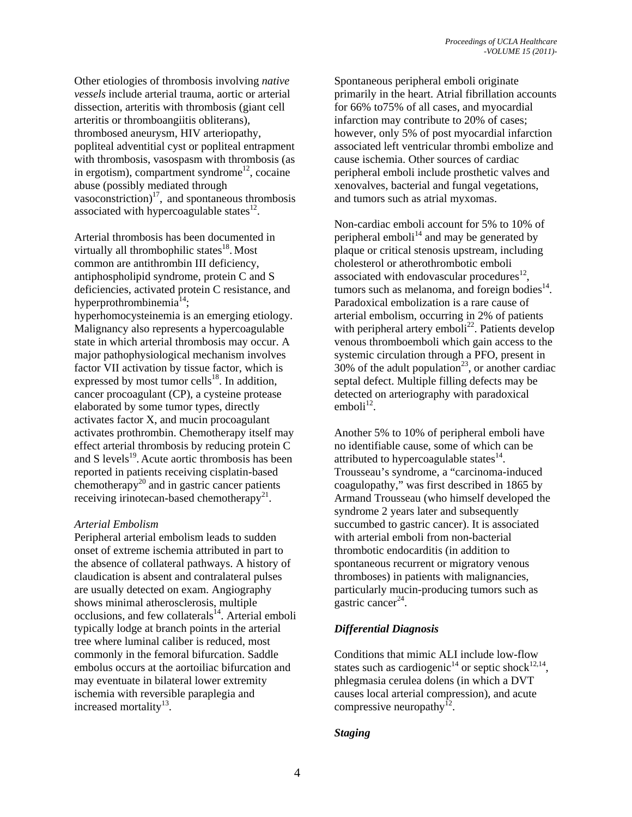Other etiologies of thrombosis involving *native vessels* include arterial trauma, aortic or arterial dissection, arteritis with thrombosis (giant cell arteritis or thromboangiitis obliterans), thrombosed aneurysm, HIV arteriopathy, popliteal adventitial cyst or popliteal entrapment with thrombosis, vasospasm with thrombosis (as in ergotism), compartment syndrome<sup>12</sup>, cocaine abuse (possibly mediated through vasoconstriction) $^{17}$ , and spontaneous thrombosis associated with hypercoagulable states $^{12}$ .

Arterial thrombosis has been documented in virtually all thrombophilic states $18$ . Most common are antithrombin III deficiency, antiphospholipid syndrome, protein C and S deficiencies, activated protein C resistance, and hyperprothrombinemia<sup>14</sup>:

hyperhomocysteinemia is an emerging etiology. Malignancy also represents a hypercoagulable state in which arterial thrombosis may occur. A major pathophysiological mechanism involves factor VII activation by tissue factor, which is expressed by most tumor cells<sup>18</sup>. In addition, cancer procoagulant (CP), a cysteine protease elaborated by some tumor types, directly activates factor X, and mucin procoagulant activates prothrombin. Chemotherapy itself may effect arterial thrombosis by reducing protein C and S levels $^{19}$ . Acute aortic thrombosis has been reported in patients receiving cisplatin-based chemotherapy<sup>20</sup> and in gastric cancer patients receiving irinotecan-based chemotherapy<sup>21</sup>.

#### *Arterial Embolism*

Peripheral arterial embolism leads to sudden onset of extreme ischemia attributed in part to the absence of collateral pathways. A history of claudication is absent and contralateral pulses are usually detected on exam. Angiography shows minimal atherosclerosis, multiple  $occlusions,$  and few collaterals<sup>14</sup>. Arterial emboli typically lodge at branch points in the arterial tree where luminal caliber is reduced, most commonly in the femoral bifurcation. Saddle embolus occurs at the aortoiliac bifurcation and may eventuate in bilateral lower extremity ischemia with reversible paraplegia and increased mortality $^{13}$ .

Spontaneous peripheral emboli originate primarily in the heart. Atrial fibrillation accounts for 66% to75% of all cases, and myocardial infarction may contribute to 20% of cases; however, only 5% of post myocardial infarction associated left ventricular thrombi embolize and cause ischemia. Other sources of cardiac peripheral emboli include prosthetic valves and xenovalves, bacterial and fungal vegetations, and tumors such as atrial myxomas.

Non-cardiac emboli account for 5% to 10% of peripheral emboli<sup>14</sup> and may be generated by plaque or critical stenosis upstream, including cholesterol or atherothrombotic emboli associated with endovascular procedures $^{12}$ , tumors such as melanoma, and foreign bodies $^{14}$ . Paradoxical embolization is a rare cause of arterial embolism, occurring in 2% of patients with peripheral artery emboli<sup>22</sup>. Patients develop venous thromboemboli which gain access to the systemic circulation through a PFO, present in 30% of the adult population<sup>23</sup>, or another cardiac septal defect. Multiple filling defects may be detected on arteriography with paradoxical  $emboli<sup>12</sup>$ .

Another 5% to 10% of peripheral emboli have no identifiable cause, some of which can be attributed to hypercoagulable states $^{14}$ . Trousseau's syndrome, a "carcinoma-induced coagulopathy," was first described in 1865 by Armand Trousseau (who himself developed the syndrome 2 years later and subsequently succumbed to gastric cancer). It is associated with arterial emboli from non-bacterial thrombotic endocarditis (in addition to spontaneous recurrent or migratory venous thromboses) in patients with malignancies, particularly mucin-producing tumors such as gastric cancer<sup>24</sup>.

## *Differential Diagnosis*

Conditions that mimic ALI include low-flow states such as cardiogenic<sup>14</sup> or septic shock<sup>12,14</sup>. phlegmasia cerulea dolens (in which a DVT causes local arterial compression), and acute compressive neuropathy $^{12}$ .

#### *Staging*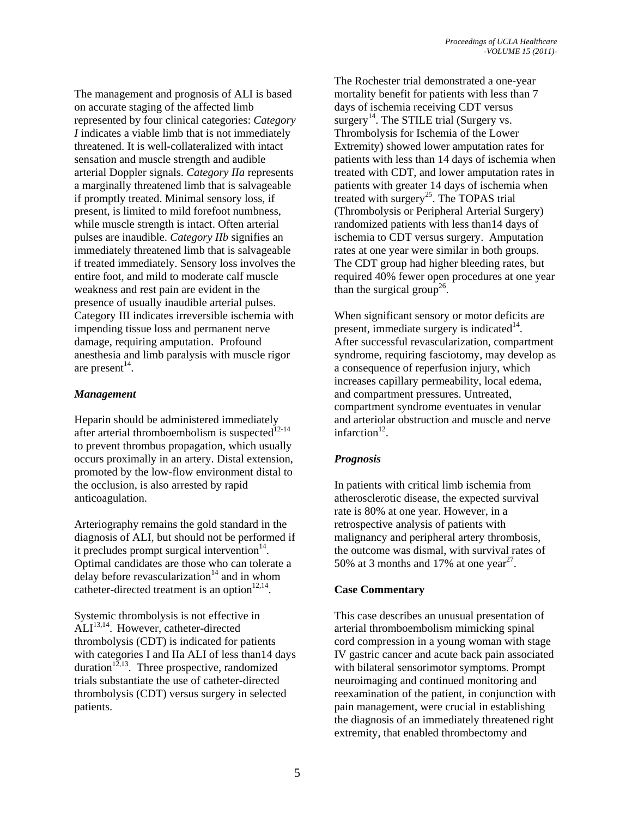The management and prognosis of ALI is based on accurate staging of the affected limb represented by four clinical categories: *Category I* indicates a viable limb that is not immediately threatened. It is well-collateralized with intact sensation and muscle strength and audible arterial Doppler signals. *Category IIa* represents a marginally threatened limb that is salvageable if promptly treated. Minimal sensory loss, if present, is limited to mild forefoot numbness, while muscle strength is intact. Often arterial pulses are inaudible. *Category IIb* signifies an immediately threatened limb that is salvageable if treated immediately. Sensory loss involves the entire foot, and mild to moderate calf muscle weakness and rest pain are evident in the presence of usually inaudible arterial pulses. Category III indicates irreversible ischemia with impending tissue loss and permanent nerve damage, requiring amputation. Profound anesthesia and limb paralysis with muscle rigor are present $^{14}$ .

## *Management*

Heparin should be administered immediately after arterial thromboembolism is suspected<sup>12-14</sup> to prevent thrombus propagation, which usually occurs proximally in an artery. Distal extension, promoted by the low-flow environment distal to the occlusion, is also arrested by rapid anticoagulation.

Arteriography remains the gold standard in the diagnosis of ALI, but should not be performed if it precludes prompt surgical intervention $14$ . Optimal candidates are those who can tolerate a delay before revascularization $14$  and in whom catheter-directed treatment is an option $12,14$ .

Systemic thrombolysis is not effective in  $ALI<sup>13,14</sup>$ . However, catheter-directed thrombolysis (CDT) is indicated for patients with categories I and IIa ALI of less than 14 days duration<sup>12,13</sup>. Three prospective, randomized trials substantiate the use of catheter-directed thrombolysis (CDT) versus surgery in selected patients.

The Rochester trial demonstrated a one-year mortality benefit for patients with less than 7 days of ischemia receiving CDT versus surgery<sup>14</sup>. The STILE trial (Surgery vs. Thrombolysis for Ischemia of the Lower Extremity) showed lower amputation rates for patients with less than 14 days of ischemia when treated with CDT, and lower amputation rates in patients with greater 14 days of ischemia when treated with surgery<sup>25</sup>. The TOPAS trial (Thrombolysis or Peripheral Arterial Surgery) randomized patients with less than14 days of ischemia to CDT versus surgery. Amputation rates at one year were similar in both groups. The CDT group had higher bleeding rates, but required 40% fewer open procedures at one year than the surgical group<sup>26</sup>.

When significant sensory or motor deficits are present, immediate surgery is indicated $14$ . After successful revascularization, compartment syndrome, requiring fasciotomy, may develop as a consequence of reperfusion injury, which increases capillary permeability, local edema, and compartment pressures. Untreated, compartment syndrome eventuates in venular and arteriolar obstruction and muscle and nerve infarction $12$ .

## *Prognosis*

In patients with critical limb ischemia from atherosclerotic disease, the expected survival rate is 80% at one year. However, in a retrospective analysis of patients with malignancy and peripheral artery thrombosis, the outcome was dismal, with survival rates of 50% at 3 months and 17% at one year<sup>27</sup>.

## **Case Commentary**

This case describes an unusual presentation of arterial thromboembolism mimicking spinal cord compression in a young woman with stage IV gastric cancer and acute back pain associated with bilateral sensorimotor symptoms. Prompt neuroimaging and continued monitoring and reexamination of the patient, in conjunction with pain management, were crucial in establishing the diagnosis of an immediately threatened right extremity, that enabled thrombectomy and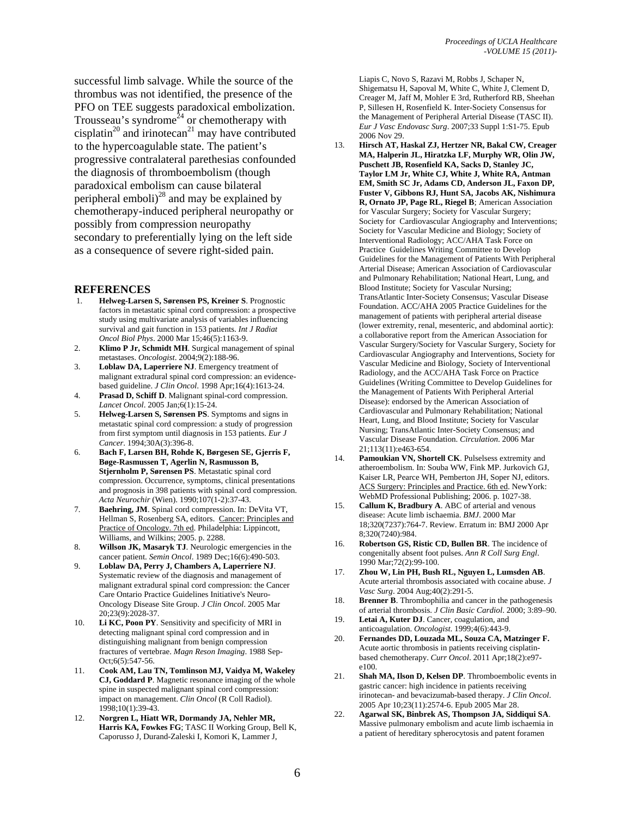successful limb salvage. While the source of the thrombus was not identified, the presence of the PFO on TEE suggests paradoxical embolization. Trousseau's syndrome<sup> $24$ </sup> or chemotherapy with cisplatin<sup>20</sup> and irinotecan<sup>21</sup> may have contributed to the hypercoagulable state. The patient's progressive contralateral parethesias confounded the diagnosis of thromboembolism (though paradoxical embolism can cause bilateral peripheral emboli) $^{28}$  and may be explained by chemotherapy-induced peripheral neuropathy or possibly from compression neuropathy secondary to preferentially lying on the left side as a consequence of severe right-sided pain.

#### **REFERENCES**

- 1. **Helweg-Larsen S, Sørensen PS, Kreiner S**. Prognostic factors in metastatic spinal cord compression: a prospective study using multivariate analysis of variables influencing survival and gait function in 153 patients. *Int J Radiat Oncol Biol Phys*. 2000 Mar 15;46(5):1163-9.
- 2. **Klimo P Jr, Schmidt MH**. Surgical management of spinal metastases. *Oncologist*. 2004;9(2):188-96.
- 3. **Loblaw DA, Laperriere NJ**. Emergency treatment of malignant extradural spinal cord compression: an evidencebased guideline. *J Clin Oncol*. 1998 Apr;16(4):1613-24.
- 4. **Prasad D, Schiff D**. Malignant spinal-cord compression. *Lancet Oncol*. 2005 Jan;6(1):15-24.
- 5. **Helweg-Larsen S, Sørensen PS**. Symptoms and signs in metastatic spinal cord compression: a study of progression from first symptom until diagnosis in 153 patients. *Eur J Cancer*. 1994;30A(3):396-8.
- 6. **Bach F, Larsen BH, Rohde K, Børgesen SE, Gjerris F, Bøge-Rasmussen T, Agerlin N, Rasmusson B, Stjernholm P, Sørensen PS**. Metastatic spinal cord compression. Occurrence, symptoms, clinical presentations and prognosis in 398 patients with spinal cord compression. *Acta Neurochir* (Wien). 1990;107(1-2):37-43.
- 7. **Baehring, JM**. Spinal cord compression. In: DeVita VT, Hellman S, Rosenberg SA, editors. Cancer: Principles and Practice of Oncology. 7th ed. Philadelphia: Lippincott, Williams, and Wilkins; 2005. p. 2288.
- 8. **Willson JK, Masaryk TJ**. Neurologic emergencies in the cancer patient. *Semin Oncol*. 1989 Dec;16(6):490-503.
- 9. **Loblaw DA, Perry J, Chambers A, Laperriere NJ**. Systematic review of the diagnosis and management of malignant extradural spinal cord compression: the Cancer Care Ontario Practice Guidelines Initiative's Neuro-Oncology Disease Site Group. *J Clin Oncol*. 2005 Mar 20;23(9):2028-37.
- 10. **Li KC, Poon PY**. Sensitivity and specificity of MRI in detecting malignant spinal cord compression and in distinguishing malignant from benign compression fractures of vertebrae. *Magn Reson Imaging*. 1988 Sep-Oct;6(5):547-56.
- 11. **Cook AM, Lau TN, Tomlinson MJ, Vaidya M, Wakeley CJ, Goddard P**. Magnetic resonance imaging of the whole spine in suspected malignant spinal cord compression: impact on management. *Clin Oncol* (R Coll Radiol). 1998;10(1):39-43.
- 12. **Norgren L, Hiatt WR, Dormandy JA, Nehler MR, Harris KA, Fowkes FG**; TASC II Working Group, Bell K, Caporusso J, Durand-Zaleski I, Komori K, Lammer J,

Liapis C, Novo S, Razavi M, Robbs J, Schaper N, Shigematsu H, Sapoval M, White C, White J, Clement D, Creager M, Jaff M, Mohler E 3rd, Rutherford RB, Sheehan P, Sillesen H, Rosenfield K. Inter-Society Consensus for the Management of Peripheral Arterial Disease (TASC II). *Eur J Vasc Endovasc Surg*. 2007;33 Suppl 1:S1-75. Epub 2006 Nov 29.

- 13. **Hirsch AT, Haskal ZJ, Hertzer NR, Bakal CW, Creager MA, Halperin JL, Hiratzka LF, Murphy WR, Olin JW, Puschett JB, Rosenfield KA, Sacks D, Stanley JC, Taylor LM Jr, White CJ, White J, White RA, Antman EM, Smith SC Jr, Adams CD, Anderson JL, Faxon DP, Fuster V, Gibbons RJ, Hunt SA, Jacobs AK, Nishimura R, Ornato JP, Page RL, Riegel B**; American Association for Vascular Surgery; Society for Vascular Surgery; Society for Cardiovascular Angiography and Interventions; Society for Vascular Medicine and Biology; Society of Interventional Radiology; ACC/AHA Task Force on Practice Guidelines Writing Committee to Develop Guidelines for the Management of Patients With Peripheral Arterial Disease; American Association of Cardiovascular and Pulmonary Rehabilitation; National Heart, Lung, and Blood Institute; Society for Vascular Nursing; TransAtlantic Inter-Society Consensus; Vascular Disease Foundation. ACC/AHA 2005 Practice Guidelines for the management of patients with peripheral arterial disease (lower extremity, renal, mesenteric, and abdominal aortic): a collaborative report from the American Association for Vascular Surgery/Society for Vascular Surgery, Society for Cardiovascular Angiography and Interventions, Society for Vascular Medicine and Biology, Society of Interventional Radiology, and the ACC/AHA Task Force on Practice Guidelines (Writing Committee to Develop Guidelines for the Management of Patients With Peripheral Arterial Disease): endorsed by the American Association of Cardiovascular and Pulmonary Rehabilitation; National Heart, Lung, and Blood Institute; Society for Vascular Nursing; TransAtlantic Inter-Society Consensus; and Vascular Disease Foundation. *Circulation*. 2006 Mar 21;113(11):e463-654.
- 14. **Pamoukian VN, Shortell CK**. Pulselsess extremity and atheroembolism. In: Souba WW, Fink MP. Jurkovich GJ, Kaiser LR, Pearce WH, Pemberton JH, Soper NJ, editors. ACS Surgery: Principles and Practice. 6th ed. NewYork: WebMD Professional Publishing; 2006. p. 1027-38.
- 15. **Callum K, Bradbury A**. ABC of arterial and venous disease: Acute limb ischaemia. *BMJ*. 2000 Mar 18;320(7237):764-7. Review. Erratum in: BMJ 2000 Apr 8;320(7240):984.
- 16. **Robertson GS, Ristic CD, Bullen BR**. The incidence of congenitally absent foot pulses. *Ann R Coll Surg Engl*. 1990 Mar;72(2):99-100.
- 17. **Zhou W, Lin PH, Bush RL, Nguyen L, Lumsden AB**. Acute arterial thrombosis associated with cocaine abuse. *J Vasc Surg*. 2004 Aug;40(2):291-5.
- 18. **Brenner B**. Thrombophilia and cancer in the pathogenesis of arterial thrombosis. *J Clin Basic Cardiol*. 2000; 3:89–90.
- 19. **Letai A, Kuter DJ**. Cancer, coagulation, and anticoagulation. *Oncologist*. 1999;4(6):443-9.
- 20. **Fernandes DD, Louzada ML, Souza CA, Matzinger F.** Acute aortic thrombosis in patients receiving cisplatinbased chemotherapy. *Curr Oncol*. 2011 Apr;18(2):e97 e100.
- 21. **Shah MA, Ilson D, Kelsen DP**. Thromboembolic events in gastric cancer: high incidence in patients receiving irinotecan- and bevacizumab-based therapy. *J Clin Oncol*. 2005 Apr 10;23(11):2574-6. Epub 2005 Mar 28.
- 22. **Agarwal SK, Binbrek AS, Thompson JA, Siddiqui SA**. Massive pulmonary embolism and acute limb ischaemia in a patient of hereditary spherocytosis and patent foramen